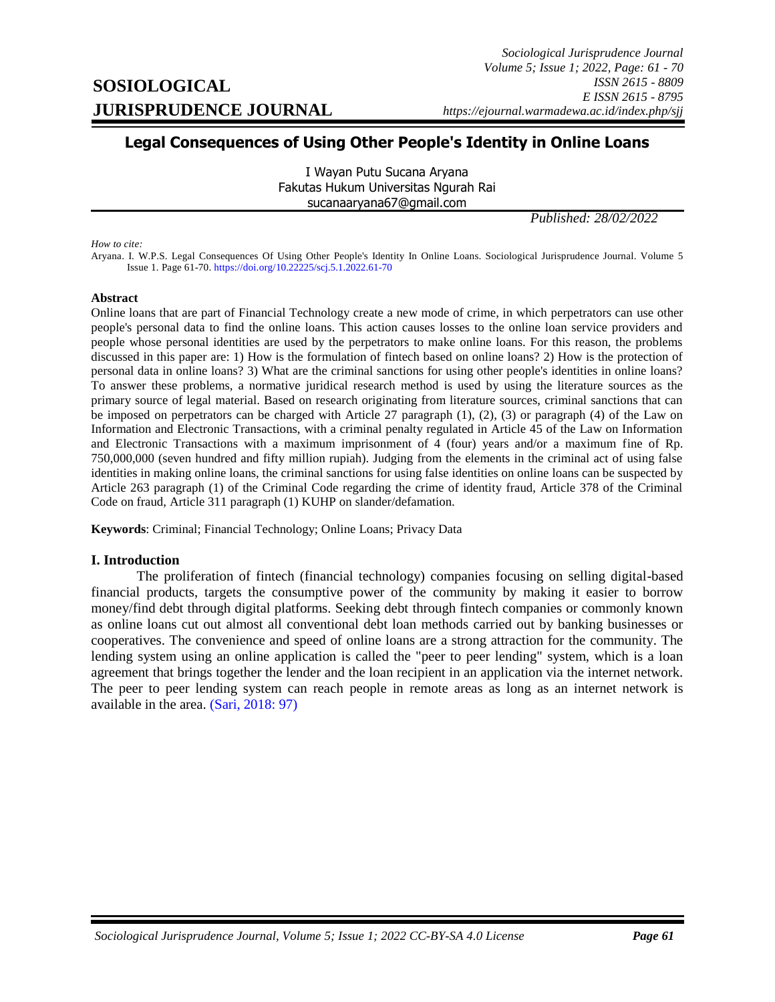# **Legal Consequences of Using Other People's Identity in Online Loans**

I Wayan Putu Sucana Aryana Fakutas Hukum Universitas Ngurah Rai sucanaaryana67@gmail.com

*Published: 28/02/2022*

*How to cite:*

Aryana. I. W.P.S. Legal Consequences Of Using Other People's Identity In Online Loans. Sociological Jurisprudence Journal. Volume 5 Issue 1. Page 61-70[. https://doi.org/10.22225/scj.5.1.2022.61-70](https://doi.org/10.22225/scj.5.1.2022.61-70)

#### **Abstract**

Online loans that are part of Financial Technology create a new mode of crime, in which perpetrators can use other people's personal data to find the online loans. This action causes losses to the online loan service providers and people whose personal identities are used by the perpetrators to make online loans. For this reason, the problems discussed in this paper are: 1) How is the formulation of fintech based on online loans? 2) How is the protection of personal data in online loans? 3) What are the criminal sanctions for using other people's identities in online loans? To answer these problems, a normative juridical research method is used by using the literature sources as the primary source of legal material. Based on research originating from literature sources, criminal sanctions that can be imposed on perpetrators can be charged with Article 27 paragraph (1), (2), (3) or paragraph (4) of the Law on Information and Electronic Transactions, with a criminal penalty regulated in Article 45 of the Law on Information and Electronic Transactions with a maximum imprisonment of 4 (four) years and/or a maximum fine of Rp. 750,000,000 (seven hundred and fifty million rupiah). Judging from the elements in the criminal act of using false identities in making online loans, the criminal sanctions for using false identities on online loans can be suspected by Article 263 paragraph (1) of the Criminal Code regarding the crime of identity fraud, Article 378 of the Criminal Code on fraud, Article 311 paragraph (1) KUHP on slander/defamation.

**Keywords**: Criminal; Financial Technology; Online Loans; Privacy Data

### **I. Introduction**

<span id="page-0-0"></span>The proliferation of fintech (financial technology) companies focusing on selling digital-based financial products, targets the consumptive power of the community by making it easier to borrow money/find debt through digital platforms. Seeking debt through fintech companies or commonly known as online loans cut out almost all conventional debt loan methods carried out by banking businesses or cooperatives. The convenience and speed of online loans are a strong attraction for the community. The lending system using an online application is called the "peer to peer lending" system, which is a loan agreement that brings together the lender and the loan recipient in an application via the internet network. The peer to peer lending system can reach people in remote areas as long as an internet network is available in the area. [\(Sari, 2018: 97\)](#page-0-0)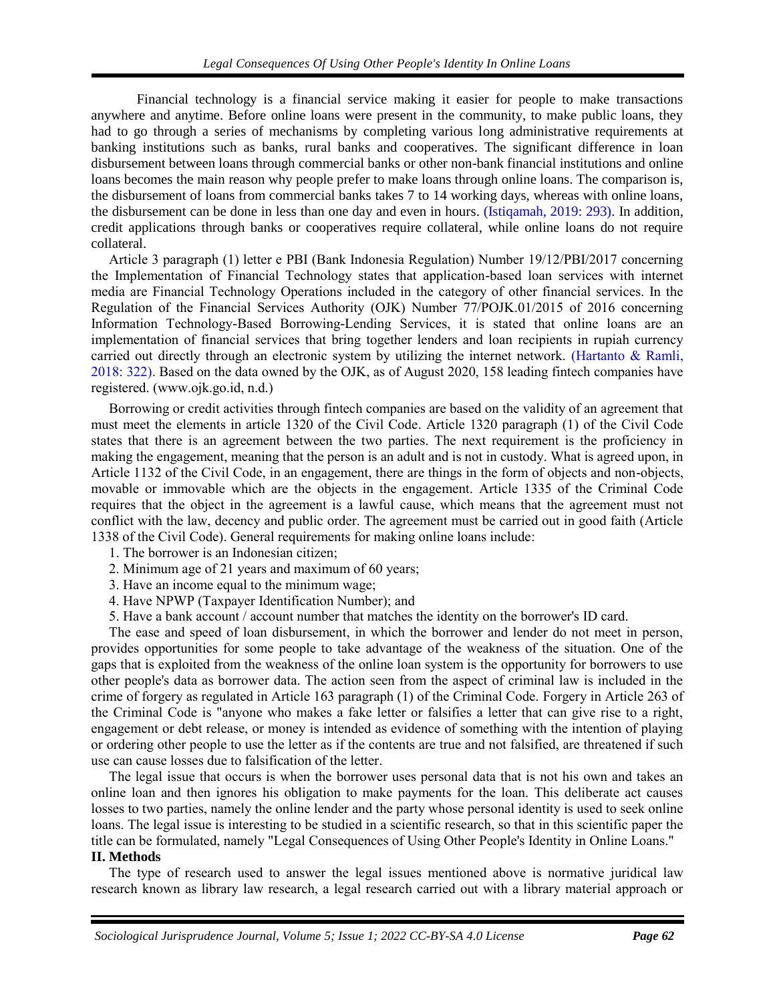Financial technology is a financial service making it easier for people to make transactions anywhere and anytime. Before online loans were present in the community, to make public loans, they had to go through a series of mechanisms by completing various long administrative requirements at banking institutions such as banks, rural banks and cooperatives. The significant difference in loan disbursement between loans through commercial banks or other non-bank financial institutions and online loans becomes the main reason why people prefer to make loans through online loans. The comparison is, the disbursement of loans from commercial banks takes 7 to 14 working days, whereas with online loans, the disbursement can be done in less than one day and even in hours. [\(Istiqamah, 2019: 293\).](#page-0-0) In addition, credit applications through banks or cooperatives require collateral, while online loans do not require collateral.

Article 3 paragraph (1) letter e PBI (Bank Indonesia Regulation) Number 19/12/PBI/2017 concerning the Implementation of Financial Technology states that application-based loan services with internet media are Financial Technology Operations included in the category of other financial services. In the Regulation of the Financial Services Authority (OJK) Number 77/POJK.01/2015 of 2016 concerning Information Technology-Based Borrowing-Lending Services, it is stated that online loans are an implementation of financial services that bring together lenders and loan recipients in rupiah currency carried out directly through an electronic system by utilizing the internet network. [\(Hartanto & Ramli,](#page-0-0)  [2018: 322\).](#page-0-0) Based on the data owned by the OJK, as of August 2020, 158 leading fintech companies have registered. (www.ojk.go.id, n.d.)

Borrowing or credit activities through fintech companies are based on the validity of an agreement that must meet the elements in article 1320 of the Civil Code. Article 1320 paragraph (1) of the Civil Code states that there is an agreement between the two parties. The next requirement is the proficiency in making the engagement, meaning that the person is an adult and is not in custody. What is agreed upon, in Article 1132 of the Civil Code, in an engagement, there are things in the form of objects and non-objects, movable or immovable which are the objects in the engagement. Article 1335 of the Criminal Code requires that the object in the agreement is a lawful cause, which means that the agreement must not conflict with the law, decency and public order. The agreement must be carried out in good faith (Article 1338 of the Civil Code). General requirements for making online loans include:

- 1. The borrower is an Indonesian citizen;
- 2. Minimum age of 21 years and maximum of 60 years;
- 3. Have an income equal to the minimum wage;
- 4. Have NPWP (Taxpayer Identification Number); and
- 5. Have a bank account / account number that matches the identity on the borrower's ID card.

The ease and speed of loan disbursement, in which the borrower and lender do not meet in person, provides opportunities for some people to take advantage of the weakness of the situation. One of the gaps that is exploited from the weakness of the online loan system is the opportunity for borrowers to use other people's data as borrower data. The action seen from the aspect of criminal law is included in the crime of forgery as regulated in Article 163 paragraph (1) of the Criminal Code. Forgery in Article 263 of the Criminal Code is "anyone who makes a fake letter or falsifies a letter that can give rise to a right, engagement or debt release, or money is intended as evidence of something with the intention of playing or ordering other people to use the letter as if the contents are true and not falsified, are threatened if such use can cause losses due to falsification of the letter.

The legal issue that occurs is when the borrower uses personal data that is not his own and takes an online loan and then ignores his obligation to make payments for the loan. This deliberate act causes losses to two parties, namely the online lender and the party whose personal identity is used to seek online loans. The legal issue is interesting to be studied in a scientific research, so that in this scientific paper the title can be formulated, namely "Legal Consequences of Using Other People's Identity in Online Loans." **II. Methods**

The type of research used to answer the legal issues mentioned above is normative juridical law research known as library law research, a legal research carried out with a library material approach or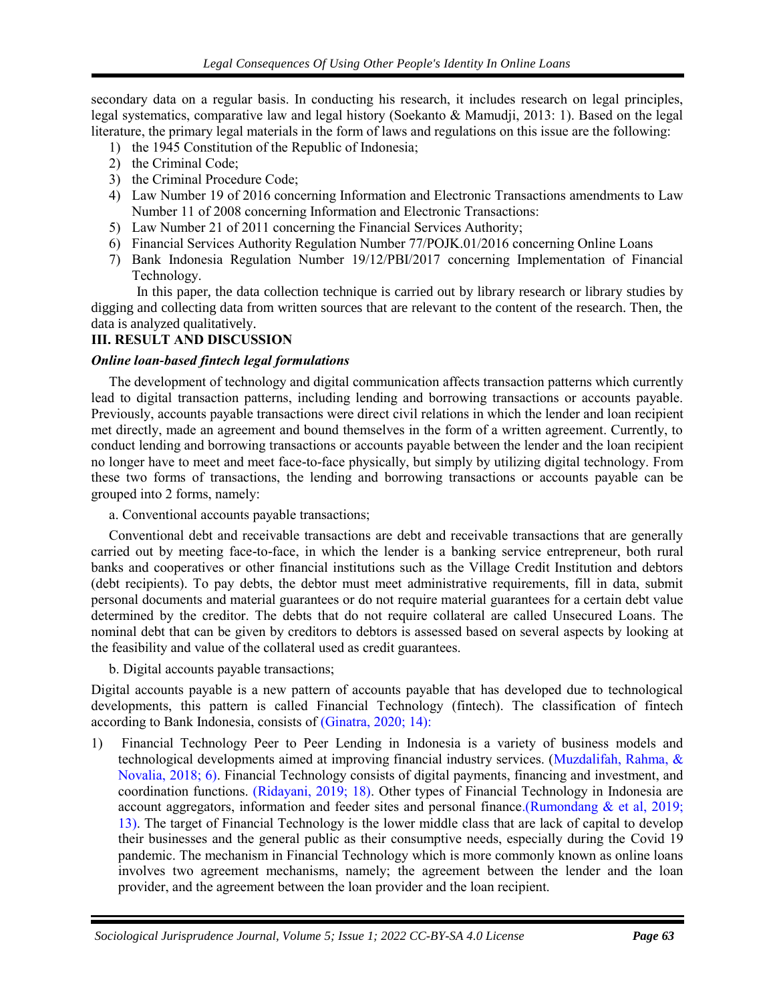secondary data on a regular basis. In conducting his research, it includes research on legal principles, legal systematics, comparative law and legal history (Soekanto & Mamudji, 2013: 1). Based on the legal literature, the primary legal materials in the form of laws and regulations on this issue are the following:

- 1) the 1945 Constitution of the Republic of Indonesia;
- 2) the Criminal Code;
- 3) the Criminal Procedure Code;
- 4) Law Number 19 of 2016 concerning Information and Electronic Transactions amendments to Law Number 11 of 2008 concerning Information and Electronic Transactions:
- 5) Law Number 21 of 2011 concerning the Financial Services Authority;
- 6) Financial Services Authority Regulation Number 77/POJK.01/2016 concerning Online Loans
- 7) Bank Indonesia Regulation Number 19/12/PBI/2017 concerning Implementation of Financial Technology.

In this paper, the data collection technique is carried out by library research or library studies by digging and collecting data from written sources that are relevant to the content of the research. Then, the data is analyzed qualitatively.

## **III. RESULT AND DISCUSSION**

## *Online loan-based fintech legal formulations*

The development of technology and digital communication affects transaction patterns which currently lead to digital transaction patterns, including lending and borrowing transactions or accounts payable. Previously, accounts payable transactions were direct civil relations in which the lender and loan recipient met directly, made an agreement and bound themselves in the form of a written agreement. Currently, to conduct lending and borrowing transactions or accounts payable between the lender and the loan recipient no longer have to meet and meet face-to-face physically, but simply by utilizing digital technology. From these two forms of transactions, the lending and borrowing transactions or accounts payable can be grouped into 2 forms, namely:

a. Conventional accounts payable transactions;

Conventional debt and receivable transactions are debt and receivable transactions that are generally carried out by meeting face-to-face, in which the lender is a banking service entrepreneur, both rural banks and cooperatives or other financial institutions such as the Village Credit Institution and debtors (debt recipients). To pay debts, the debtor must meet administrative requirements, fill in data, submit personal documents and material guarantees or do not require material guarantees for a certain debt value determined by the creditor. The debts that do not require collateral are called Unsecured Loans. The nominal debt that can be given by creditors to debtors is assessed based on several aspects by looking at the feasibility and value of the collateral used as credit guarantees.

b. Digital accounts payable transactions;

Digital accounts payable is a new pattern of accounts payable that has developed due to technological developments, this pattern is called Financial Technology (fintech). The classification of fintech according to Bank Indonesia, consists of [\(Ginatra, 2020; 14\):](#page-0-0)

1) Financial Technology Peer to Peer Lending in Indonesia is a variety of business models and technological developments aimed at improving financial industry services. [\(Muzdalifah, Rahma, &](#page-0-0)  [Novalia, 2018; 6\).](#page-0-0) Financial Technology consists of digital payments, financing and investment, and coordination functions. [\(Ridayani, 2019; 18\).](#page-0-0) Other types of Financial Technology in Indonesia are account aggregators, information and feeder sites and personal financ[e.\(Rumondang & et al, 2019;](#page-0-0)  [13\).](#page-0-0) The target of Financial Technology is the lower middle class that are lack of capital to develop their businesses and the general public as their consumptive needs, especially during the Covid 19 pandemic. The mechanism in Financial Technology which is more commonly known as online loans involves two agreement mechanisms, namely; the agreement between the lender and the loan provider, and the agreement between the loan provider and the loan recipient.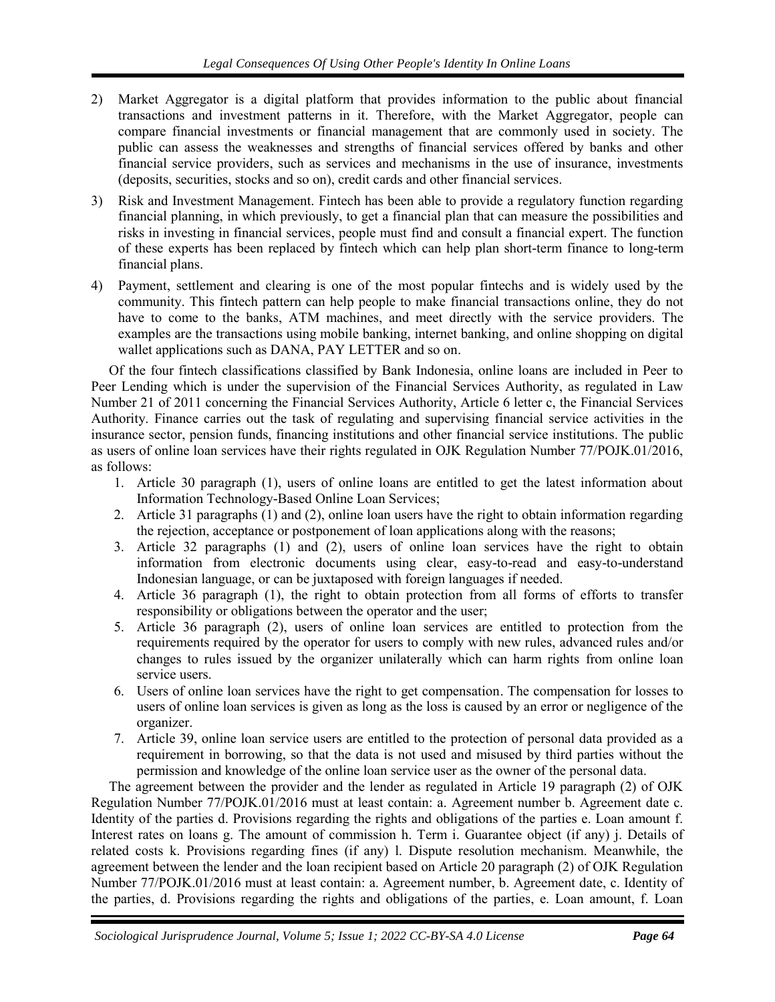- 2) Market Aggregator is a digital platform that provides information to the public about financial transactions and investment patterns in it. Therefore, with the Market Aggregator, people can compare financial investments or financial management that are commonly used in society. The public can assess the weaknesses and strengths of financial services offered by banks and other financial service providers, such as services and mechanisms in the use of insurance, investments (deposits, securities, stocks and so on), credit cards and other financial services.
- 3) Risk and Investment Management. Fintech has been able to provide a regulatory function regarding financial planning, in which previously, to get a financial plan that can measure the possibilities and risks in investing in financial services, people must find and consult a financial expert. The function of these experts has been replaced by fintech which can help plan short-term finance to long-term financial plans.
- 4) Payment, settlement and clearing is one of the most popular fintechs and is widely used by the community. This fintech pattern can help people to make financial transactions online, they do not have to come to the banks, ATM machines, and meet directly with the service providers. The examples are the transactions using mobile banking, internet banking, and online shopping on digital wallet applications such as DANA, PAY LETTER and so on.

Of the four fintech classifications classified by Bank Indonesia, online loans are included in Peer to Peer Lending which is under the supervision of the Financial Services Authority, as regulated in Law Number 21 of 2011 concerning the Financial Services Authority, Article 6 letter c, the Financial Services Authority. Finance carries out the task of regulating and supervising financial service activities in the insurance sector, pension funds, financing institutions and other financial service institutions. The public as users of online loan services have their rights regulated in OJK Regulation Number 77/POJK.01/2016, as follows:

- 1. Article 30 paragraph (1), users of online loans are entitled to get the latest information about Information Technology-Based Online Loan Services;
- 2. Article 31 paragraphs (1) and (2), online loan users have the right to obtain information regarding the rejection, acceptance or postponement of loan applications along with the reasons;
- 3. Article 32 paragraphs (1) and (2), users of online loan services have the right to obtain information from electronic documents using clear, easy-to-read and easy-to-understand Indonesian language, or can be juxtaposed with foreign languages if needed.
- 4. Article 36 paragraph (1), the right to obtain protection from all forms of efforts to transfer responsibility or obligations between the operator and the user;
- 5. Article 36 paragraph (2), users of online loan services are entitled to protection from the requirements required by the operator for users to comply with new rules, advanced rules and/or changes to rules issued by the organizer unilaterally which can harm rights from online loan service users.
- 6. Users of online loan services have the right to get compensation. The compensation for losses to users of online loan services is given as long as the loss is caused by an error or negligence of the organizer.
- 7. Article 39, online loan service users are entitled to the protection of personal data provided as a requirement in borrowing, so that the data is not used and misused by third parties without the permission and knowledge of the online loan service user as the owner of the personal data.

The agreement between the provider and the lender as regulated in Article 19 paragraph (2) of OJK Regulation Number 77/POJK.01/2016 must at least contain: a. Agreement number b. Agreement date c. Identity of the parties d. Provisions regarding the rights and obligations of the parties e. Loan amount f. Interest rates on loans g. The amount of commission h. Term i. Guarantee object (if any) j. Details of related costs k. Provisions regarding fines (if any) l. Dispute resolution mechanism. Meanwhile, the agreement between the lender and the loan recipient based on Article 20 paragraph (2) of OJK Regulation Number 77/POJK.01/2016 must at least contain: a. Agreement number, b. Agreement date, c. Identity of the parties, d. Provisions regarding the rights and obligations of the parties, e. Loan amount, f. Loan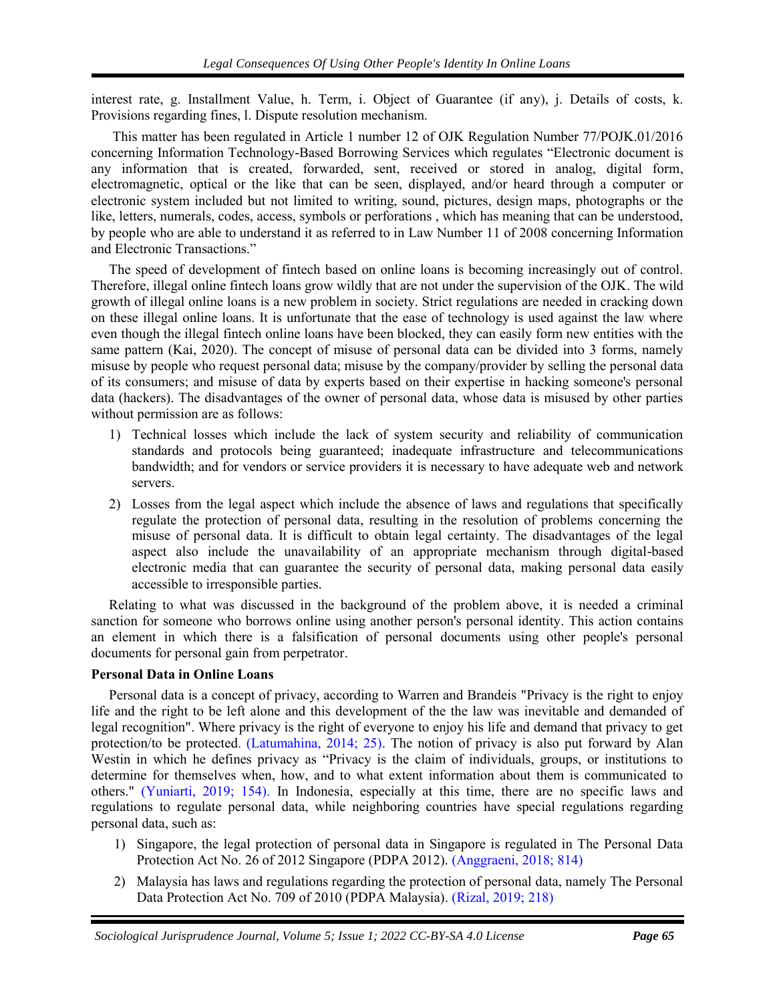interest rate, g. Installment Value, h. Term, i. Object of Guarantee (if any), j. Details of costs, k. Provisions regarding fines, l. Dispute resolution mechanism.

This matter has been regulated in Article 1 number 12 of OJK Regulation Number 77/POJK.01/2016 concerning Information Technology-Based Borrowing Services which regulates "Electronic document is any information that is created, forwarded, sent, received or stored in analog, digital form, electromagnetic, optical or the like that can be seen, displayed, and/or heard through a computer or electronic system included but not limited to writing, sound, pictures, design maps, photographs or the like, letters, numerals, codes, access, symbols or perforations , which has meaning that can be understood, by people who are able to understand it as referred to in Law Number 11 of 2008 concerning Information and Electronic Transactions."

The speed of development of fintech based on online loans is becoming increasingly out of control. Therefore, illegal online fintech loans grow wildly that are not under the supervision of the OJK. The wild growth of illegal online loans is a new problem in society. Strict regulations are needed in cracking down on these illegal online loans. It is unfortunate that the ease of technology is used against the law where even though the illegal fintech online loans have been blocked, they can easily form new entities with the same pattern (Kai, 2020). The concept of misuse of personal data can be divided into 3 forms, namely misuse by people who request personal data; misuse by the company/provider by selling the personal data of its consumers; and misuse of data by experts based on their expertise in hacking someone's personal data (hackers). The disadvantages of the owner of personal data, whose data is misused by other parties without permission are as follows:

- 1) Technical losses which include the lack of system security and reliability of communication standards and protocols being guaranteed; inadequate infrastructure and telecommunications bandwidth; and for vendors or service providers it is necessary to have adequate web and network servers.
- 2) Losses from the legal aspect which include the absence of laws and regulations that specifically regulate the protection of personal data, resulting in the resolution of problems concerning the misuse of personal data. It is difficult to obtain legal certainty. The disadvantages of the legal aspect also include the unavailability of an appropriate mechanism through digital-based electronic media that can guarantee the security of personal data, making personal data easily accessible to irresponsible parties.

Relating to what was discussed in the background of the problem above, it is needed a criminal sanction for someone who borrows online using another person's personal identity. This action contains an element in which there is a falsification of personal documents using other people's personal documents for personal gain from perpetrator.

## **Personal Data in Online Loans**

Personal data is a concept of privacy, according to Warren and Brandeis "Privacy is the right to enjoy life and the right to be left alone and this development of the the law was inevitable and demanded of legal recognition". Where privacy is the right of everyone to enjoy his life and demand that privacy to get protection/to be protecte[d. \(Latumahina, 2014; 25\).](#page-0-0) The notion of privacy is also put forward by Alan Westin in which he defines privacy as "Privacy is the claim of individuals, groups, or institutions to determine for themselves when, how, and to what extent information about them is communicated to others." [\(Yuniarti, 2019; 154\).](#page-0-0) In Indonesia, especially at this time, there are no specific laws and regulations to regulate personal data, while neighboring countries have special regulations regarding personal data, such as:

- 1) Singapore, the legal protection of personal data in Singapore is regulated in The Personal Data Protection Act No. 26 of 2012 Singapore (PDPA 2012). [\(Anggraeni, 2018; 814\)](#page-0-0)
- 2) Malaysia has laws and regulations regarding the protection of personal data, namely The Personal Data Protection Act No. 709 of 2010 (PDPA Malaysia). [\(Rizal, 2019; 218\)](#page-0-0)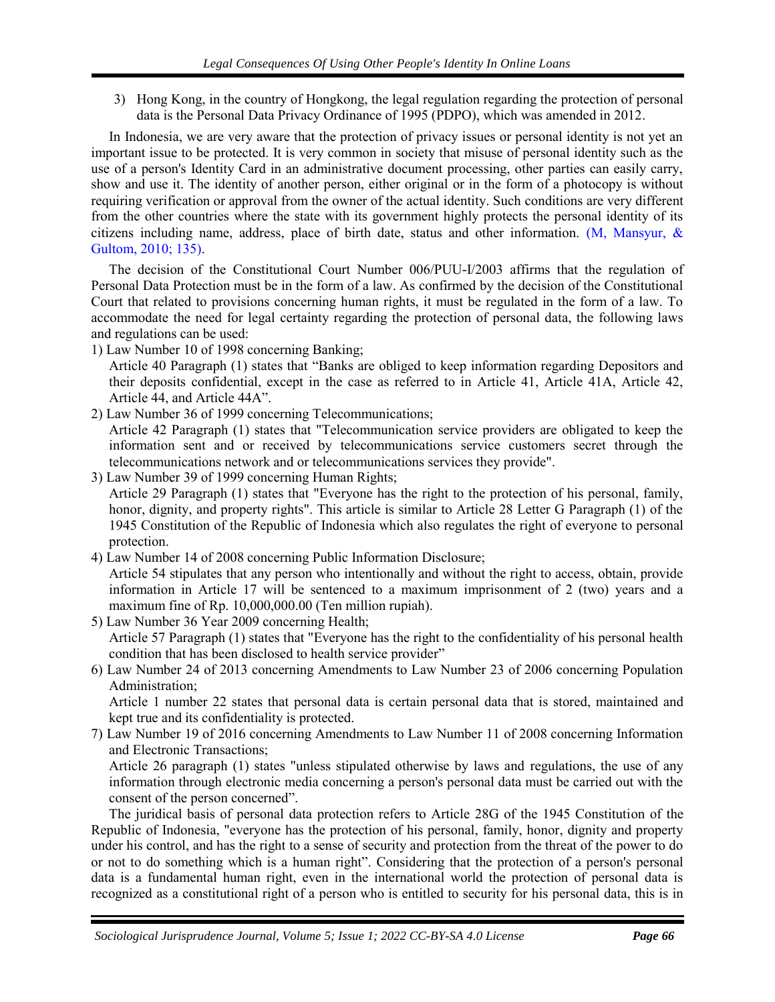3) Hong Kong, in the country of Hongkong, the legal regulation regarding the protection of personal data is the Personal Data Privacy Ordinance of 1995 (PDPO), which was amended in 2012.

In Indonesia, we are very aware that the protection of privacy issues or personal identity is not yet an important issue to be protected. It is very common in society that misuse of personal identity such as the use of a person's Identity Card in an administrative document processing, other parties can easily carry, show and use it. The identity of another person, either original or in the form of a photocopy is without requiring verification or approval from the owner of the actual identity. Such conditions are very different from the other countries where the state with its government highly protects the personal identity of its citizens including name, address, place of birth date, status and other information. [\(M, Mansyur, &](#page-0-0)  [Gultom, 2010; 135\).](#page-0-0)

The decision of the Constitutional Court Number 006/PUU-I/2003 affirms that the regulation of Personal Data Protection must be in the form of a law. As confirmed by the decision of the Constitutional Court that related to provisions concerning human rights, it must be regulated in the form of a law. To accommodate the need for legal certainty regarding the protection of personal data, the following laws and regulations can be used:

1) Law Number 10 of 1998 concerning Banking;

Article 40 Paragraph (1) states that "Banks are obliged to keep information regarding Depositors and their deposits confidential, except in the case as referred to in Article 41, Article 41A, Article 42, Article 44, and Article 44A".

2) Law Number 36 of 1999 concerning Telecommunications;

Article 42 Paragraph (1) states that "Telecommunication service providers are obligated to keep the information sent and or received by telecommunications service customers secret through the telecommunications network and or telecommunications services they provide".

3) Law Number 39 of 1999 concerning Human Rights;

Article 29 Paragraph (1) states that "Everyone has the right to the protection of his personal, family, honor, dignity, and property rights". This article is similar to Article 28 Letter G Paragraph (1) of the 1945 Constitution of the Republic of Indonesia which also regulates the right of everyone to personal protection.

- 4) Law Number 14 of 2008 concerning Public Information Disclosure; Article 54 stipulates that any person who intentionally and without the right to access, obtain, provide information in Article 17 will be sentenced to a maximum imprisonment of 2 (two) years and a maximum fine of Rp. 10,000,000.00 (Ten million rupiah).
- 5) Law Number 36 Year 2009 concerning Health; Article 57 Paragraph (1) states that "Everyone has the right to the confidentiality of his personal health condition that has been disclosed to health service provider"
- 6) Law Number 24 of 2013 concerning Amendments to Law Number 23 of 2006 concerning Population Administration;

Article 1 number 22 states that personal data is certain personal data that is stored, maintained and kept true and its confidentiality is protected.

7) Law Number 19 of 2016 concerning Amendments to Law Number 11 of 2008 concerning Information and Electronic Transactions;

Article 26 paragraph (1) states "unless stipulated otherwise by laws and regulations, the use of any information through electronic media concerning a person's personal data must be carried out with the consent of the person concerned".

The juridical basis of personal data protection refers to Article 28G of the 1945 Constitution of the Republic of Indonesia, "everyone has the protection of his personal, family, honor, dignity and property under his control, and has the right to a sense of security and protection from the threat of the power to do or not to do something which is a human right". Considering that the protection of a person's personal data is a fundamental human right, even in the international world the protection of personal data is recognized as a constitutional right of a person who is entitled to security for his personal data, this is in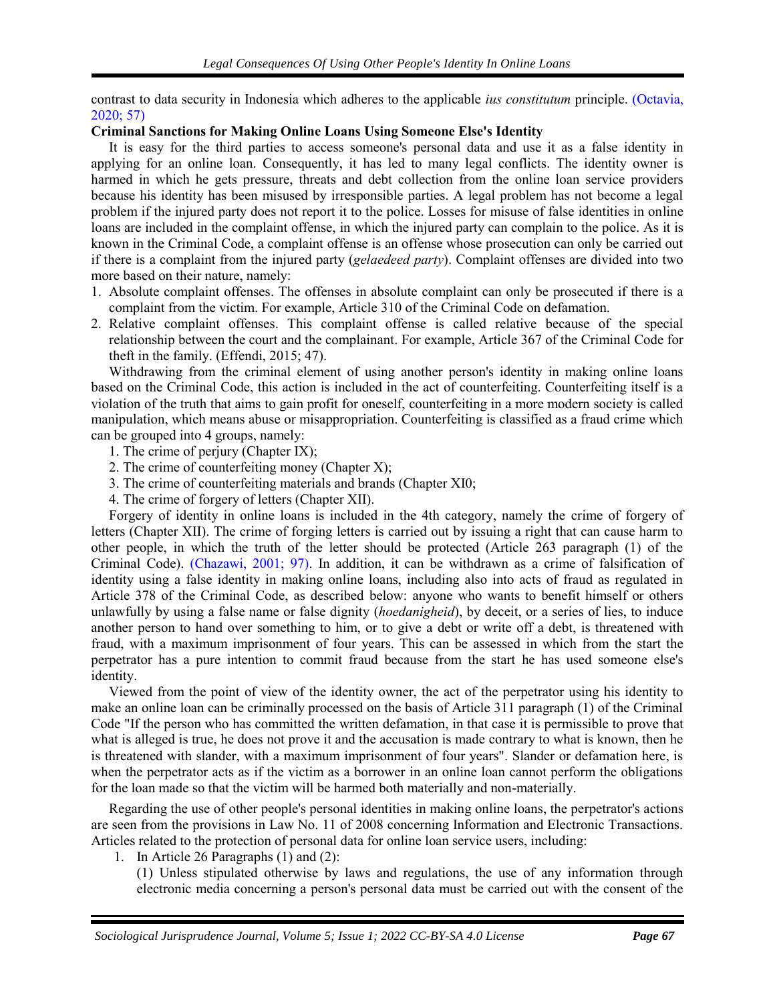contrast to data security in Indonesia which adheres to the applicable *ius constitutum* principle. [\(Octavia,](#page-0-0)  [2020; 57\)](#page-0-0)

## **Criminal Sanctions for Making Online Loans Using Someone Else's Identity**

It is easy for the third parties to access someone's personal data and use it as a false identity in applying for an online loan. Consequently, it has led to many legal conflicts. The identity owner is harmed in which he gets pressure, threats and debt collection from the online loan service providers because his identity has been misused by irresponsible parties. A legal problem has not become a legal problem if the injured party does not report it to the police. Losses for misuse of false identities in online loans are included in the complaint offense, in which the injured party can complain to the police. As it is known in the Criminal Code, a complaint offense is an offense whose prosecution can only be carried out if there is a complaint from the injured party (*gelaedeed party*). Complaint offenses are divided into two more based on their nature, namely:

- 1. Absolute complaint offenses. The offenses in absolute complaint can only be prosecuted if there is a complaint from the victim. For example, Article 310 of the Criminal Code on defamation.
- 2. Relative complaint offenses. This complaint offense is called relative because of the special relationship between the court and the complainant. For example, Article 367 of the Criminal Code for theft in the family. (Effendi, 2015; 47).

Withdrawing from the criminal element of using another person's identity in making online loans based on the Criminal Code, this action is included in the act of counterfeiting. Counterfeiting itself is a violation of the truth that aims to gain profit for oneself, counterfeiting in a more modern society is called manipulation, which means abuse or misappropriation. Counterfeiting is classified as a fraud crime which can be grouped into 4 groups, namely:

- 1. The crime of perjury (Chapter IX);
- 2. The crime of counterfeiting money (Chapter X);
- 3. The crime of counterfeiting materials and brands (Chapter XI0;
- 4. The crime of forgery of letters (Chapter XII).

Forgery of identity in online loans is included in the 4th category, namely the crime of forgery of letters (Chapter XII). The crime of forging letters is carried out by issuing a right that can cause harm to other people, in which the truth of the letter should be protected (Article 263 paragraph (1) of the Criminal Code). [\(Chazawi, 2001; 97\).](#page-0-0) In addition, it can be withdrawn as a crime of falsification of identity using a false identity in making online loans, including also into acts of fraud as regulated in Article 378 of the Criminal Code, as described below: anyone who wants to benefit himself or others unlawfully by using a false name or false dignity (*hoedanigheid*), by deceit, or a series of lies, to induce another person to hand over something to him, or to give a debt or write off a debt, is threatened with fraud, with a maximum imprisonment of four years. This can be assessed in which from the start the perpetrator has a pure intention to commit fraud because from the start he has used someone else's identity.

Viewed from the point of view of the identity owner, the act of the perpetrator using his identity to make an online loan can be criminally processed on the basis of Article 311 paragraph (1) of the Criminal Code "If the person who has committed the written defamation, in that case it is permissible to prove that what is alleged is true, he does not prove it and the accusation is made contrary to what is known, then he is threatened with slander, with a maximum imprisonment of four years". Slander or defamation here, is when the perpetrator acts as if the victim as a borrower in an online loan cannot perform the obligations for the loan made so that the victim will be harmed both materially and non-materially.

Regarding the use of other people's personal identities in making online loans, the perpetrator's actions are seen from the provisions in Law No. 11 of 2008 concerning Information and Electronic Transactions. Articles related to the protection of personal data for online loan service users, including:

1. In Article 26 Paragraphs (1) and (2):

(1) Unless stipulated otherwise by laws and regulations, the use of any information through electronic media concerning a person's personal data must be carried out with the consent of the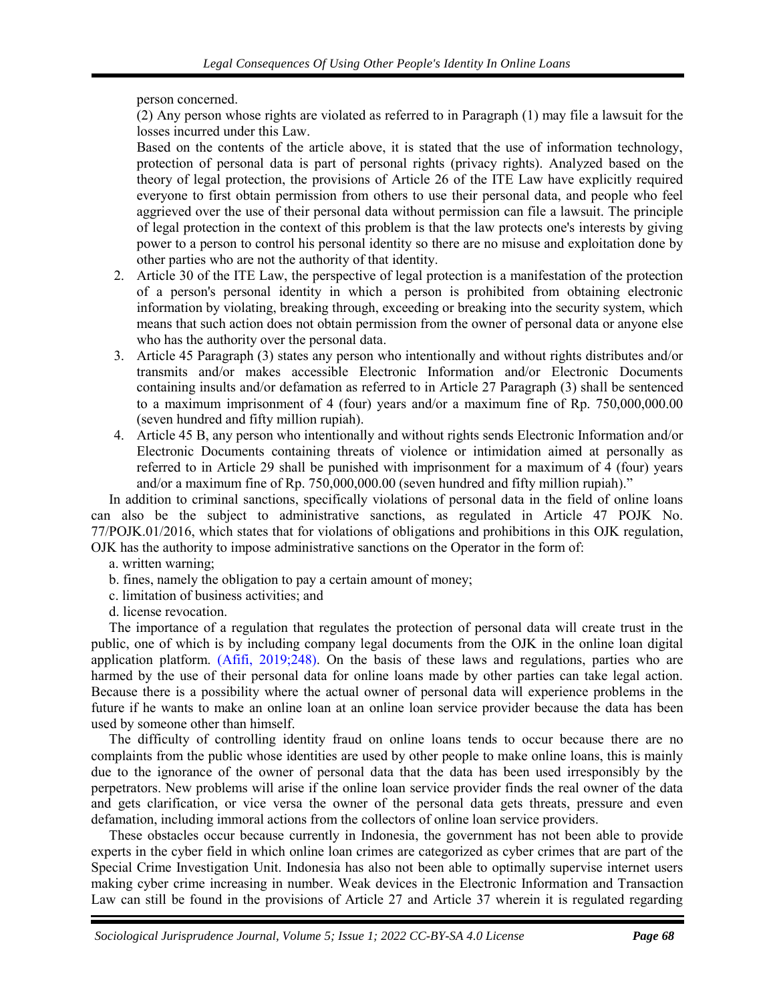person concerned.

(2) Any person whose rights are violated as referred to in Paragraph (1) may file a lawsuit for the losses incurred under this Law.

Based on the contents of the article above, it is stated that the use of information technology, protection of personal data is part of personal rights (privacy rights). Analyzed based on the theory of legal protection, the provisions of Article 26 of the ITE Law have explicitly required everyone to first obtain permission from others to use their personal data, and people who feel aggrieved over the use of their personal data without permission can file a lawsuit. The principle of legal protection in the context of this problem is that the law protects one's interests by giving power to a person to control his personal identity so there are no misuse and exploitation done by other parties who are not the authority of that identity.

- 2. Article 30 of the ITE Law, the perspective of legal protection is a manifestation of the protection of a person's personal identity in which a person is prohibited from obtaining electronic information by violating, breaking through, exceeding or breaking into the security system, which means that such action does not obtain permission from the owner of personal data or anyone else who has the authority over the personal data.
- 3. Article 45 Paragraph (3) states any person who intentionally and without rights distributes and/or transmits and/or makes accessible Electronic Information and/or Electronic Documents containing insults and/or defamation as referred to in Article 27 Paragraph (3) shall be sentenced to a maximum imprisonment of 4 (four) years and/or a maximum fine of Rp. 750,000,000.00 (seven hundred and fifty million rupiah).
- 4. Article 45 B, any person who intentionally and without rights sends Electronic Information and/or Electronic Documents containing threats of violence or intimidation aimed at personally as referred to in Article 29 shall be punished with imprisonment for a maximum of 4 (four) years and/or a maximum fine of Rp. 750,000,000.00 (seven hundred and fifty million rupiah)."

In addition to criminal sanctions, specifically violations of personal data in the field of online loans can also be the subject to administrative sanctions, as regulated in Article 47 POJK No. 77/POJK.01/2016, which states that for violations of obligations and prohibitions in this OJK regulation, OJK has the authority to impose administrative sanctions on the Operator in the form of:

- a. written warning;
- b. fines, namely the obligation to pay a certain amount of money;
- c. limitation of business activities; and
- d. license revocation.

The importance of a regulation that regulates the protection of personal data will create trust in the public, one of which is by including company legal documents from the OJK in the online loan digital application platform. [\(Afifi, 2019;248\).](#page-0-0) On the basis of these laws and regulations, parties who are harmed by the use of their personal data for online loans made by other parties can take legal action. Because there is a possibility where the actual owner of personal data will experience problems in the future if he wants to make an online loan at an online loan service provider because the data has been used by someone other than himself.

The difficulty of controlling identity fraud on online loans tends to occur because there are no complaints from the public whose identities are used by other people to make online loans, this is mainly due to the ignorance of the owner of personal data that the data has been used irresponsibly by the perpetrators. New problems will arise if the online loan service provider finds the real owner of the data and gets clarification, or vice versa the owner of the personal data gets threats, pressure and even defamation, including immoral actions from the collectors of online loan service providers.

These obstacles occur because currently in Indonesia, the government has not been able to provide experts in the cyber field in which online loan crimes are categorized as cyber crimes that are part of the Special Crime Investigation Unit. Indonesia has also not been able to optimally supervise internet users making cyber crime increasing in number. Weak devices in the Electronic Information and Transaction Law can still be found in the provisions of Article 27 and Article 37 wherein it is regulated regarding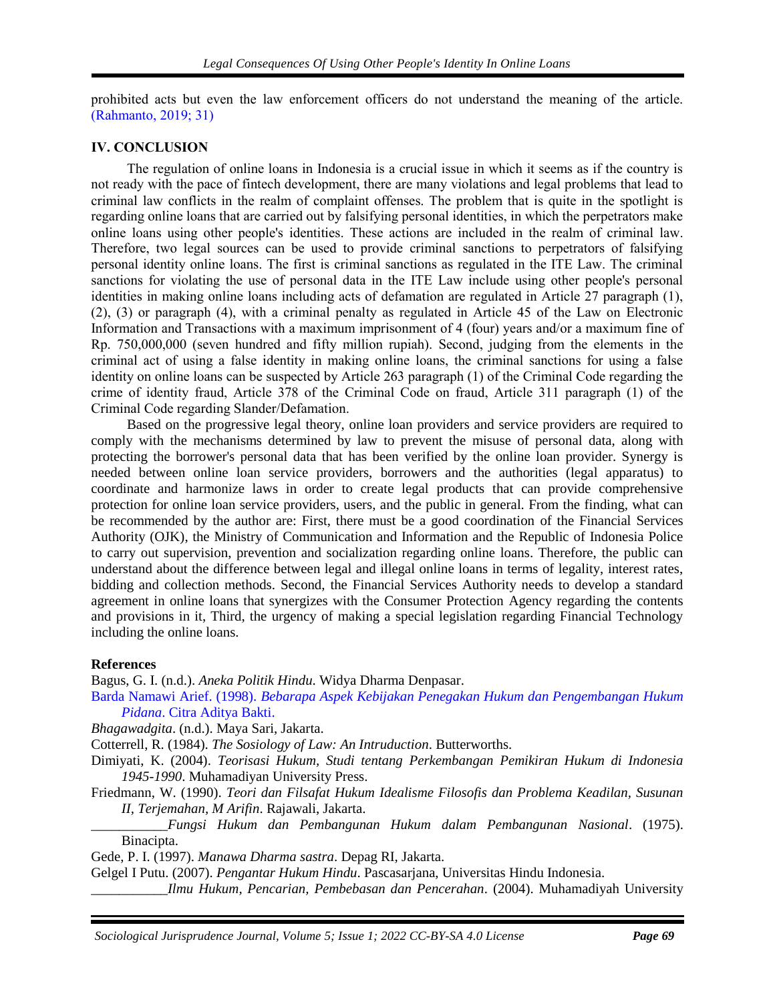prohibited acts but even the law enforcement officers do not understand the meaning of the article. [\(Rahmanto, 2019; 31\)](#page-0-0)

#### **IV. CONCLUSION**

The regulation of online loans in Indonesia is a crucial issue in which it seems as if the country is not ready with the pace of fintech development, there are many violations and legal problems that lead to criminal law conflicts in the realm of complaint offenses. The problem that is quite in the spotlight is regarding online loans that are carried out by falsifying personal identities, in which the perpetrators make online loans using other people's identities. These actions are included in the realm of criminal law. Therefore, two legal sources can be used to provide criminal sanctions to perpetrators of falsifying personal identity online loans. The first is criminal sanctions as regulated in the ITE Law. The criminal sanctions for violating the use of personal data in the ITE Law include using other people's personal identities in making online loans including acts of defamation are regulated in Article 27 paragraph (1), (2), (3) or paragraph (4), with a criminal penalty as regulated in Article 45 of the Law on Electronic Information and Transactions with a maximum imprisonment of 4 (four) years and/or a maximum fine of Rp. 750,000,000 (seven hundred and fifty million rupiah). Second, judging from the elements in the criminal act of using a false identity in making online loans, the criminal sanctions for using a false identity on online loans can be suspected by Article 263 paragraph (1) of the Criminal Code regarding the crime of identity fraud, Article 378 of the Criminal Code on fraud, Article 311 paragraph (1) of the Criminal Code regarding Slander/Defamation.

Based on the progressive legal theory, online loan providers and service providers are required to comply with the mechanisms determined by law to prevent the misuse of personal data, along with protecting the borrower's personal data that has been verified by the online loan provider. Synergy is needed between online loan service providers, borrowers and the authorities (legal apparatus) to coordinate and harmonize laws in order to create legal products that can provide comprehensive protection for online loan service providers, users, and the public in general. From the finding, what can be recommended by the author are: First, there must be a good coordination of the Financial Services Authority (OJK), the Ministry of Communication and Information and the Republic of Indonesia Police to carry out supervision, prevention and socialization regarding online loans. Therefore, the public can understand about the difference between legal and illegal online loans in terms of legality, interest rates, bidding and collection methods. Second, the Financial Services Authority needs to develop a standard agreement in online loans that synergizes with the Consumer Protection Agency regarding the contents and provisions in it, Third, the urgency of making a special legislation regarding Financial Technology including the online loans.

#### **References**

Bagus, G. I. (n.d.). *Aneka Politik Hindu*. Widya Dharma Denpasar.

Barda Namawi Arief. (1998). *[Bebarapa Aspek Kebijakan Penegakan Hukum dan Pengembangan Hukum](http://uilis.unsyiah.ac.id/uilis/index.php?p=show_detail&id=73441)  Pidana*[. Citra Aditya Bakti.](http://uilis.unsyiah.ac.id/uilis/index.php?p=show_detail&id=73441)

*Bhagawadgita*. (n.d.). Maya Sari, Jakarta.

Cotterrell, R. (1984). *The Sosiology of Law: An Intruduction*. Butterworths.

- Dimiyati, K. (2004). *Teorisasi Hukum, Studi tentang Perkembangan Pemikiran Hukum di Indonesia 1945-1990*. Muhamadiyan University Press.
- Friedmann, W. (1990). *Teori dan Filsafat Hukum Idealisme Filosofis dan Problema Keadilan, Susunan II, Terjemahan, M Arifin*. Rajawali, Jakarta.
- *\_\_\_\_\_\_\_\_\_\_\_Fungsi Hukum dan Pembangunan Hukum dalam Pembangunan Nasional*. (1975). Binacipta.

Gede, P. I. (1997). *Manawa Dharma sastra*. Depag RI, Jakarta.

Gelgel I Putu. (2007). *Pengantar Hukum Hindu*. Pascasarjana, Universitas Hindu Indonesia.

*\_\_\_\_\_\_\_\_\_\_\_Ilmu Hukum, Pencarian, Pembebasan dan Pencerahan*. (2004). Muhamadiyah University